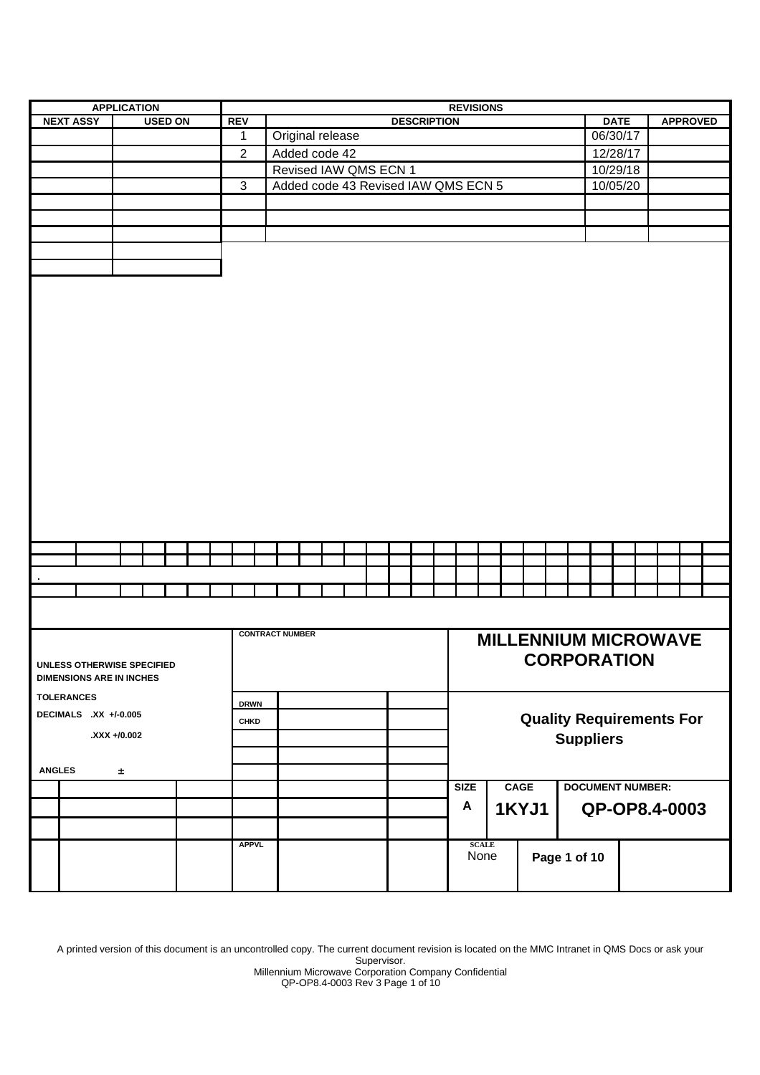| <b>APPLICATION</b>    |                                 |               |  |  |                |  | <b>REVISIONS</b> |                |                  |                                                              |  |  |                                 |          |  |  |  |                    |                      |             |              |          |              |                             |  |  |             |          |                         |               |                 |  |
|-----------------------|---------------------------------|---------------|--|--|----------------|--|------------------|----------------|------------------|--------------------------------------------------------------|--|--|---------------------------------|----------|--|--|--|--------------------|----------------------|-------------|--------------|----------|--------------|-----------------------------|--|--|-------------|----------|-------------------------|---------------|-----------------|--|
|                       | <b>NEXT ASSY</b>                |               |  |  | <b>USED ON</b> |  |                  | <b>REV</b>     |                  |                                                              |  |  |                                 |          |  |  |  | <b>DESCRIPTION</b> |                      |             |              |          |              |                             |  |  | <b>DATE</b> |          |                         |               | <b>APPROVED</b> |  |
|                       |                                 |               |  |  |                |  |                  | $\mathbf 1$    | Original release |                                                              |  |  |                                 |          |  |  |  |                    |                      |             |              | 06/30/17 |              |                             |  |  |             |          |                         |               |                 |  |
|                       |                                 | Added code 42 |  |  |                |  |                  |                |                  |                                                              |  |  |                                 | 12/28/17 |  |  |  |                    |                      |             |              |          |              |                             |  |  |             |          |                         |               |                 |  |
|                       |                                 |               |  |  |                |  |                  | $\overline{2}$ |                  |                                                              |  |  |                                 |          |  |  |  |                    |                      |             |              |          |              |                             |  |  |             | 10/29/18 |                         |               |                 |  |
|                       |                                 |               |  |  |                |  |                  | $\mathbf{3}$   |                  | Revised IAW QMS ECN 1<br>Added code 43 Revised IAW QMS ECN 5 |  |  |                                 |          |  |  |  |                    |                      |             |              | 10/05/20 |              |                             |  |  |             |          |                         |               |                 |  |
|                       |                                 |               |  |  |                |  |                  |                |                  |                                                              |  |  |                                 |          |  |  |  |                    |                      |             |              |          |              |                             |  |  |             |          |                         |               |                 |  |
|                       |                                 |               |  |  |                |  |                  |                |                  |                                                              |  |  |                                 |          |  |  |  |                    |                      |             |              |          |              |                             |  |  |             |          |                         |               |                 |  |
|                       |                                 |               |  |  |                |  |                  |                |                  |                                                              |  |  |                                 |          |  |  |  |                    |                      |             |              |          |              |                             |  |  |             |          |                         |               |                 |  |
|                       |                                 |               |  |  |                |  |                  |                |                  |                                                              |  |  |                                 |          |  |  |  |                    |                      |             |              |          |              |                             |  |  |             |          |                         |               |                 |  |
|                       |                                 |               |  |  |                |  |                  |                |                  |                                                              |  |  |                                 |          |  |  |  |                    |                      |             |              |          |              |                             |  |  |             |          |                         |               |                 |  |
|                       |                                 |               |  |  |                |  |                  |                |                  |                                                              |  |  |                                 |          |  |  |  |                    |                      |             |              |          |              |                             |  |  |             |          |                         |               |                 |  |
|                       |                                 |               |  |  |                |  |                  |                |                  |                                                              |  |  |                                 |          |  |  |  |                    |                      |             |              |          |              |                             |  |  |             |          |                         |               |                 |  |
|                       |                                 |               |  |  |                |  |                  |                |                  |                                                              |  |  |                                 |          |  |  |  |                    |                      |             |              |          |              |                             |  |  |             |          |                         |               |                 |  |
|                       |                                 |               |  |  |                |  |                  |                |                  |                                                              |  |  |                                 |          |  |  |  |                    |                      |             |              |          |              |                             |  |  |             |          |                         |               |                 |  |
|                       |                                 |               |  |  |                |  |                  |                |                  |                                                              |  |  |                                 |          |  |  |  |                    |                      |             |              |          |              |                             |  |  |             |          |                         |               |                 |  |
|                       |                                 |               |  |  |                |  |                  |                |                  |                                                              |  |  |                                 |          |  |  |  |                    |                      |             |              |          |              |                             |  |  |             |          |                         |               |                 |  |
|                       |                                 |               |  |  |                |  |                  |                |                  |                                                              |  |  |                                 |          |  |  |  |                    |                      |             |              |          |              |                             |  |  |             |          |                         |               |                 |  |
|                       |                                 |               |  |  |                |  |                  |                |                  |                                                              |  |  |                                 |          |  |  |  |                    |                      |             |              |          |              |                             |  |  |             |          |                         |               |                 |  |
|                       |                                 |               |  |  |                |  |                  |                |                  |                                                              |  |  |                                 |          |  |  |  |                    |                      |             |              |          |              |                             |  |  |             |          |                         |               |                 |  |
|                       |                                 |               |  |  |                |  |                  |                |                  |                                                              |  |  |                                 |          |  |  |  |                    |                      |             |              |          |              |                             |  |  |             |          |                         |               |                 |  |
|                       |                                 |               |  |  |                |  |                  |                |                  |                                                              |  |  |                                 |          |  |  |  |                    |                      |             |              |          |              |                             |  |  |             |          |                         |               |                 |  |
|                       |                                 |               |  |  |                |  |                  |                |                  |                                                              |  |  |                                 |          |  |  |  |                    |                      |             |              |          |              |                             |  |  |             |          |                         |               |                 |  |
|                       |                                 |               |  |  |                |  |                  |                |                  |                                                              |  |  |                                 |          |  |  |  |                    |                      |             |              |          |              |                             |  |  |             |          |                         |               |                 |  |
|                       |                                 |               |  |  |                |  |                  |                |                  |                                                              |  |  |                                 |          |  |  |  |                    |                      |             |              |          |              |                             |  |  |             |          |                         |               |                 |  |
|                       |                                 |               |  |  |                |  |                  |                |                  |                                                              |  |  |                                 |          |  |  |  |                    |                      |             |              |          |              |                             |  |  |             |          |                         |               |                 |  |
|                       |                                 |               |  |  |                |  |                  |                |                  |                                                              |  |  |                                 |          |  |  |  |                    |                      |             |              |          |              |                             |  |  |             |          |                         |               |                 |  |
|                       |                                 |               |  |  |                |  |                  |                |                  |                                                              |  |  |                                 |          |  |  |  |                    |                      |             |              |          |              |                             |  |  |             |          |                         |               |                 |  |
|                       |                                 |               |  |  |                |  |                  |                |                  |                                                              |  |  |                                 |          |  |  |  |                    |                      |             |              |          |              |                             |  |  |             |          |                         |               |                 |  |
|                       |                                 |               |  |  |                |  |                  |                |                  |                                                              |  |  |                                 |          |  |  |  |                    |                      |             |              |          |              |                             |  |  |             |          |                         |               |                 |  |
|                       |                                 |               |  |  |                |  |                  |                |                  |                                                              |  |  |                                 |          |  |  |  |                    |                      |             |              |          |              |                             |  |  |             |          |                         |               |                 |  |
|                       |                                 |               |  |  |                |  |                  |                |                  |                                                              |  |  |                                 |          |  |  |  |                    |                      |             |              |          |              |                             |  |  |             |          |                         |               |                 |  |
|                       |                                 |               |  |  |                |  |                  |                |                  |                                                              |  |  |                                 |          |  |  |  |                    |                      |             |              |          |              |                             |  |  |             |          |                         |               |                 |  |
|                       |                                 |               |  |  |                |  |                  |                |                  |                                                              |  |  |                                 |          |  |  |  |                    |                      |             |              |          |              |                             |  |  |             |          |                         |               |                 |  |
|                       | <b>CONTRACT NUMBER</b>          |               |  |  |                |  |                  |                |                  |                                                              |  |  |                                 |          |  |  |  |                    |                      |             |              |          |              |                             |  |  |             |          |                         |               |                 |  |
|                       |                                 |               |  |  |                |  |                  |                |                  |                                                              |  |  |                                 |          |  |  |  |                    |                      |             |              |          |              | <b>MILLENNIUM MICROWAVE</b> |  |  |             |          |                         |               |                 |  |
|                       | UNLESS OTHERWISE SPECIFIED      |               |  |  |                |  |                  |                |                  |                                                              |  |  |                                 |          |  |  |  |                    |                      |             |              |          |              | <b>CORPORATION</b>          |  |  |             |          |                         |               |                 |  |
|                       | <b>DIMENSIONS ARE IN INCHES</b> |               |  |  |                |  |                  |                |                  |                                                              |  |  |                                 |          |  |  |  |                    |                      |             |              |          |              |                             |  |  |             |          |                         |               |                 |  |
|                       |                                 |               |  |  |                |  |                  |                |                  |                                                              |  |  |                                 |          |  |  |  |                    |                      |             |              |          |              |                             |  |  |             |          |                         |               |                 |  |
|                       | <b>TOLERANCES</b>               |               |  |  |                |  |                  | <b>DRWN</b>    |                  |                                                              |  |  |                                 |          |  |  |  |                    |                      |             |              |          |              |                             |  |  |             |          |                         |               |                 |  |
| DECIMALS .XX +/-0.005 | <b>CHKD</b>                     |               |  |  |                |  |                  |                |                  |                                                              |  |  | <b>Quality Requirements For</b> |          |  |  |  |                    |                      |             |              |          |              |                             |  |  |             |          |                         |               |                 |  |
|                       | XXX +/0.002                     |               |  |  |                |  |                  |                |                  |                                                              |  |  |                                 |          |  |  |  |                    | <b>Suppliers</b>     |             |              |          |              |                             |  |  |             |          |                         |               |                 |  |
|                       |                                 |               |  |  |                |  |                  |                |                  |                                                              |  |  |                                 |          |  |  |  |                    |                      |             |              |          |              |                             |  |  |             |          |                         |               |                 |  |
| <b>ANGLES</b>         |                                 | $\pm$         |  |  |                |  |                  |                |                  |                                                              |  |  |                                 |          |  |  |  |                    |                      |             |              |          |              |                             |  |  |             |          |                         |               |                 |  |
|                       |                                 |               |  |  |                |  |                  |                |                  |                                                              |  |  |                                 |          |  |  |  |                    |                      |             |              |          |              |                             |  |  |             |          |                         |               |                 |  |
|                       |                                 |               |  |  |                |  |                  |                |                  |                                                              |  |  |                                 |          |  |  |  |                    |                      | <b>SIZE</b> |              |          | <b>CAGE</b>  |                             |  |  |             |          | <b>DOCUMENT NUMBER:</b> |               |                 |  |
|                       |                                 |               |  |  |                |  |                  |                |                  |                                                              |  |  |                                 |          |  |  |  |                    |                      | A           |              |          | <b>1KYJ1</b> |                             |  |  |             |          |                         | QP-OP8.4-0003 |                 |  |
|                       |                                 |               |  |  |                |  |                  |                |                  |                                                              |  |  |                                 |          |  |  |  |                    |                      |             |              |          |              |                             |  |  |             |          |                         |               |                 |  |
|                       |                                 |               |  |  |                |  |                  | <b>APPVL</b>   |                  |                                                              |  |  |                                 |          |  |  |  |                    |                      |             | <b>SCALE</b> |          |              |                             |  |  |             |          |                         |               |                 |  |
|                       |                                 |               |  |  |                |  |                  |                |                  |                                                              |  |  |                                 |          |  |  |  |                    | None<br>Page 1 of 10 |             |              |          |              |                             |  |  |             |          |                         |               |                 |  |
|                       |                                 |               |  |  |                |  |                  |                |                  |                                                              |  |  |                                 |          |  |  |  |                    |                      |             |              |          |              |                             |  |  |             |          |                         |               |                 |  |
|                       |                                 |               |  |  |                |  |                  |                |                  |                                                              |  |  |                                 |          |  |  |  |                    |                      |             |              |          |              |                             |  |  |             |          |                         |               |                 |  |

A printed version of this document is an uncontrolled copy. The current document revision is located on the MMC Intranet in QMS Docs or ask your Supervisor.

Millennium Microwave Corporation Company Confidential

QP-OP8.4-0003 Rev 3 Page 1 of 10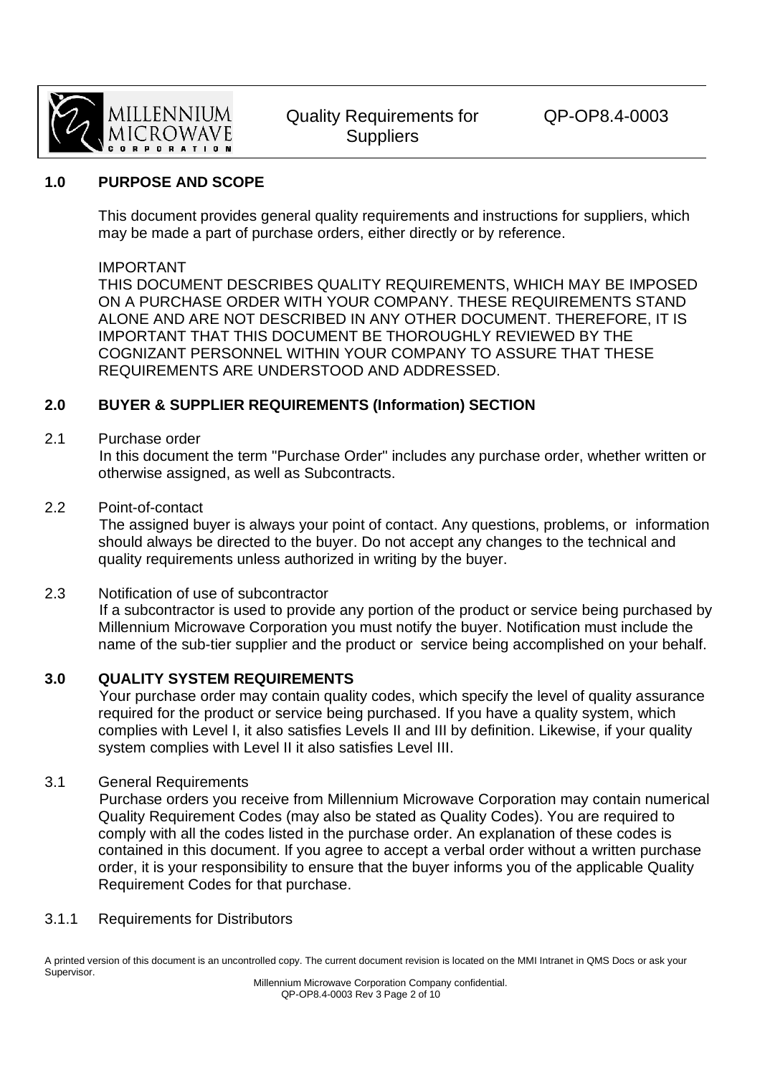

#### **1.0 PURPOSE AND SCOPE**

 This document provides general quality requirements and instructions for suppliers, which may be made a part of purchase orders, either directly or by reference.

#### IMPORTANT

 THIS DOCUMENT DESCRIBES QUALITY REQUIREMENTS, WHICH MAY BE IMPOSED ON A PURCHASE ORDER WITH YOUR COMPANY. THESE REQUIREMENTS STAND ALONE AND ARE NOT DESCRIBED IN ANY OTHER DOCUMENT. THEREFORE, IT IS IMPORTANT THAT THIS DOCUMENT BE THOROUGHLY REVIEWED BY THE COGNIZANT PERSONNEL WITHIN YOUR COMPANY TO ASSURE THAT THESE REQUIREMENTS ARE UNDERSTOOD AND ADDRESSED.

### **2.0 BUYER & SUPPLIER REQUIREMENTS (Information) SECTION**

#### 2.1 Purchase order

In this document the term "Purchase Order" includes any purchase order, whether written or otherwise assigned, as well as Subcontracts.

#### 2.2 Point-of-contact

The assigned buyer is always your point of contact. Any questions, problems, or information should always be directed to the buyer. Do not accept any changes to the technical and quality requirements unless authorized in writing by the buyer.

#### 2.3 Notification of use of subcontractor

If a subcontractor is used to provide any portion of the product or service being purchased by Millennium Microwave Corporation you must notify the buyer. Notification must include the name of the sub-tier supplier and the product or service being accomplished on your behalf.

#### **3.0 QUALITY SYSTEM REQUIREMENTS**

Your purchase order may contain quality codes, which specify the level of quality assurance required for the product or service being purchased. If you have a quality system, which complies with Level I, it also satisfies Levels II and III by definition. Likewise, if your quality system complies with Level II it also satisfies Level III.

#### 3.1 General Requirements

Purchase orders you receive from Millennium Microwave Corporation may contain numerical Quality Requirement Codes (may also be stated as Quality Codes). You are required to comply with all the codes listed in the purchase order. An explanation of these codes is contained in this document. If you agree to accept a verbal order without a written purchase order, it is your responsibility to ensure that the buyer informs you of the applicable Quality Requirement Codes for that purchase.

#### 3.1.1 Requirements for Distributors

A printed version of this document is an uncontrolled copy. The current document revision is located on the MMI Intranet in QMS Docs or ask your Supervisor.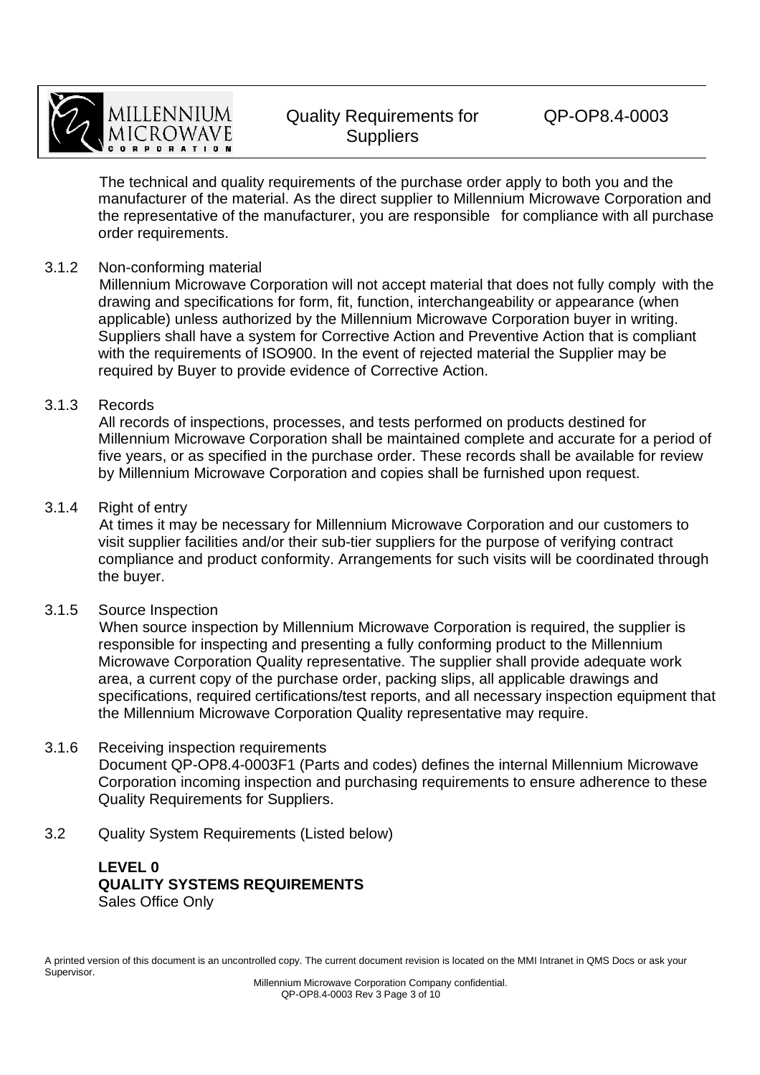

The technical and quality requirements of the purchase order apply to both you and the manufacturer of the material. As the direct supplier to Millennium Microwave Corporation and the representative of the manufacturer, you are responsible for compliance with all purchase order requirements.

#### 3.1.2 Non-conforming material

Millennium Microwave Corporation will not accept material that does not fully comply with the drawing and specifications for form, fit, function, interchangeability or appearance (when applicable) unless authorized by the Millennium Microwave Corporation buyer in writing. Suppliers shall have a system for Corrective Action and Preventive Action that is compliant with the requirements of ISO900. In the event of rejected material the Supplier may be required by Buyer to provide evidence of Corrective Action.

#### 3.1.3 Records

All records of inspections, processes, and tests performed on products destined for Millennium Microwave Corporation shall be maintained complete and accurate for a period of five years, or as specified in the purchase order. These records shall be available for review by Millennium Microwave Corporation and copies shall be furnished upon request.

#### 3.1.4 Right of entry

At times it may be necessary for Millennium Microwave Corporation and our customers to visit supplier facilities and/or their sub-tier suppliers for the purpose of verifying contract compliance and product conformity. Arrangements for such visits will be coordinated through the buyer.

#### 3.1.5 Source Inspection

When source inspection by Millennium Microwave Corporation is required, the supplier is responsible for inspecting and presenting a fully conforming product to the Millennium Microwave Corporation Quality representative. The supplier shall provide adequate work area, a current copy of the purchase order, packing slips, all applicable drawings and specifications, required certifications/test reports, and all necessary inspection equipment that the Millennium Microwave Corporation Quality representative may require.

#### 3.1.6 Receiving inspection requirements Document QP-OP8.4-0003F1 (Parts and codes) defines the internal Millennium Microwave Corporation incoming inspection and purchasing requirements to ensure adherence to these Quality Requirements for Suppliers.

3.2 Quality System Requirements (Listed below)

### **LEVEL 0 QUALITY SYSTEMS REQUIREMENTS**  Sales Office Only

A printed version of this document is an uncontrolled copy. The current document revision is located on the MMI Intranet in QMS Docs or ask your Supervisor.

Millennium Microwave Corporation Company confidential. QP-OP8.4-0003 Rev 3 Page 3 of 10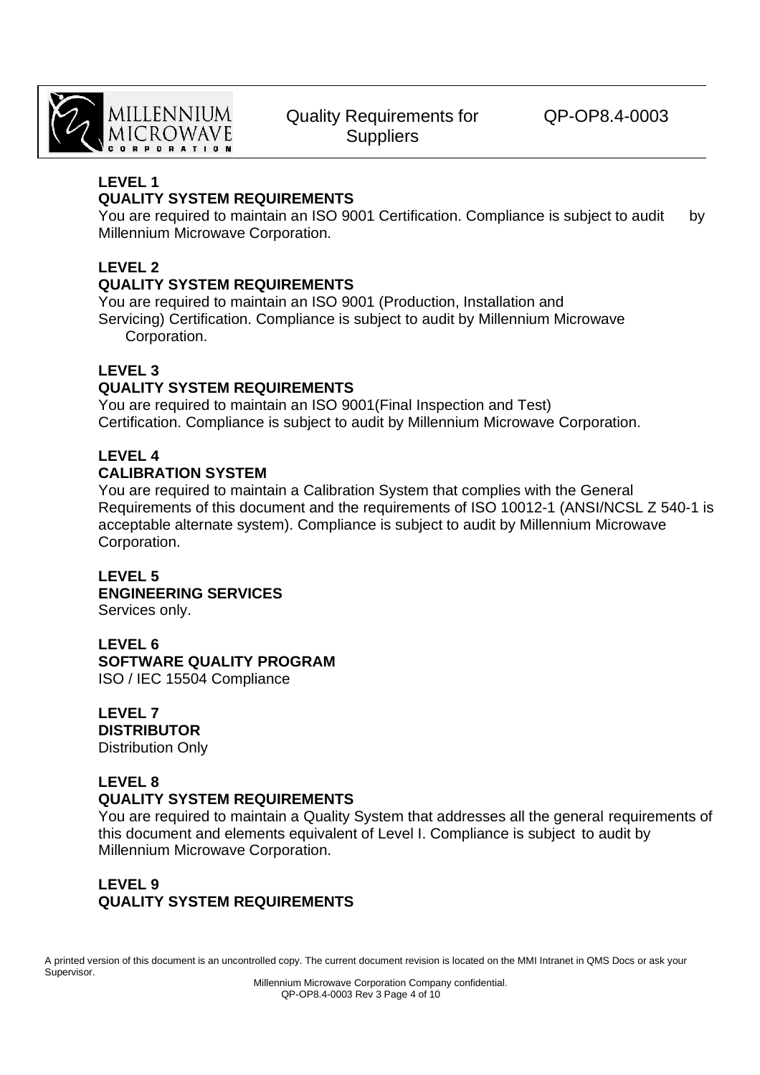

QP-OP8.4-0003

#### **LEVEL 1**

## **QUALITY SYSTEM REQUIREMENTS**

You are required to maintain an ISO 9001 Certification. Compliance is subject to audit by Millennium Microwave Corporation.

### **LEVEL 2**

#### **QUALITY SYSTEM REQUIREMENTS**

 You are required to maintain an ISO 9001 (Production, Installation and Servicing) Certification. Compliance is subject to audit by Millennium Microwave Corporation.

#### **LEVEL 3**

### **QUALITY SYSTEM REQUIREMENTS**

 You are required to maintain an ISO 9001(Final Inspection and Test) Certification. Compliance is subject to audit by Millennium Microwave Corporation.

## **LEVEL 4**

### **CALIBRATION SYSTEM**

You are required to maintain a Calibration System that complies with the General Requirements of this document and the requirements of ISO 10012-1 (ANSI/NCSL Z 540-1 is acceptable alternate system). Compliance is subject to audit by Millennium Microwave Corporation.

#### **LEVEL 5 ENGINEERING SERVICES**  Services only.

 **LEVEL 6 SOFTWARE QUALITY PROGRAM** 

ISO / IEC 15504 Compliance

 **LEVEL 7 DISTRIBUTOR**  Distribution Only

#### **LEVEL 8 QUALITY SYSTEM REQUIREMENTS**

 You are required to maintain a Quality System that addresses all the general requirements of this document and elements equivalent of Level I. Compliance is subject to audit by Millennium Microwave Corporation.

### **LEVEL 9 QUALITY SYSTEM REQUIREMENTS**

A printed version of this document is an uncontrolled copy. The current document revision is located on the MMI Intranet in QMS Docs or ask your Supervisor.

Millennium Microwave Corporation Company confidential. QP-OP8.4-0003 Rev 3 Page 4 of 10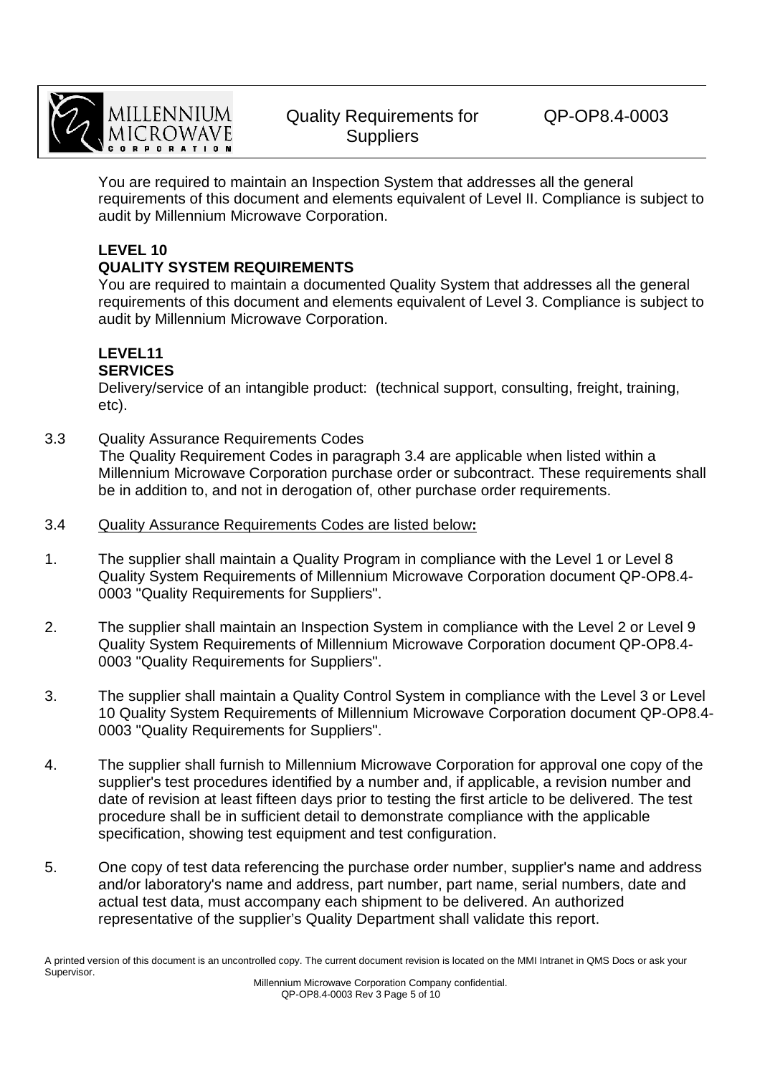

QP-OP8.4-0003

 You are required to maintain an Inspection System that addresses all the general requirements of this document and elements equivalent of Level II. Compliance is subject to audit by Millennium Microwave Corporation.

# **LEVEL 10**

### **QUALITY SYSTEM REQUIREMENTS**

 You are required to maintain a documented Quality System that addresses all the general requirements of this document and elements equivalent of Level 3. Compliance is subject to audit by Millennium Microwave Corporation.

#### **LEVEL11 SERVICES**

 Delivery/service of an intangible product: (technical support, consulting, freight, training, etc).

- 3.3 Quality Assurance Requirements Codes The Quality Requirement Codes in paragraph 3.4 are applicable when listed within a Millennium Microwave Corporation purchase order or subcontract. These requirements shall be in addition to, and not in derogation of, other purchase order requirements.
- 3.4 Quality Assurance Requirements Codes are listed below**:**
- 1. The supplier shall maintain a Quality Program in compliance with the Level 1 or Level 8 Quality System Requirements of Millennium Microwave Corporation document QP-OP8.4- 0003 "Quality Requirements for Suppliers".
- 2. The supplier shall maintain an Inspection System in compliance with the Level 2 or Level 9 Quality System Requirements of Millennium Microwave Corporation document QP-OP8.4- 0003 "Quality Requirements for Suppliers".
- 3. The supplier shall maintain a Quality Control System in compliance with the Level 3 or Level 10 Quality System Requirements of Millennium Microwave Corporation document QP-OP8.4- 0003 "Quality Requirements for Suppliers".
- 4. The supplier shall furnish to Millennium Microwave Corporation for approval one copy of the supplier's test procedures identified by a number and, if applicable, a revision number and date of revision at least fifteen days prior to testing the first article to be delivered. The test procedure shall be in sufficient detail to demonstrate compliance with the applicable specification, showing test equipment and test configuration.
- 5. One copy of test data referencing the purchase order number, supplier's name and address and/or laboratory's name and address, part number, part name, serial numbers, date and actual test data, must accompany each shipment to be delivered. An authorized representative of the supplier's Quality Department shall validate this report.

A printed version of this document is an uncontrolled copy. The current document revision is located on the MMI Intranet in QMS Docs or ask your Supervisor.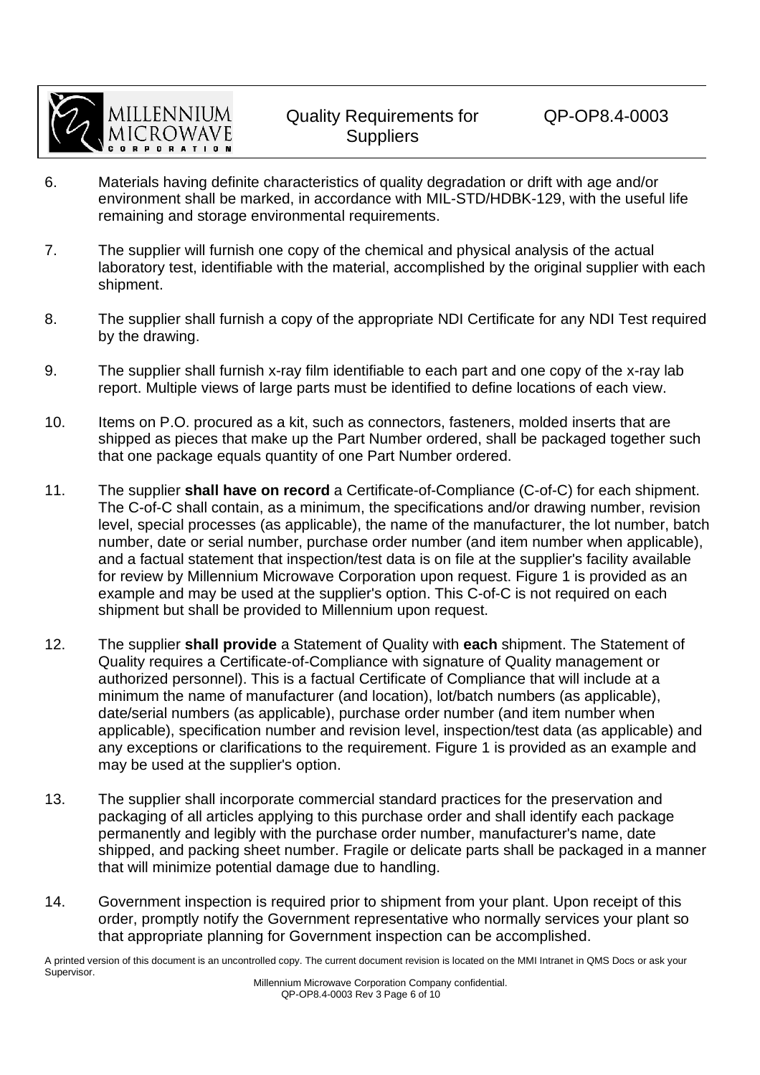

- 6. Materials having definite characteristics of quality degradation or drift with age and/or environment shall be marked, in accordance with MIL-STD/HDBK-129, with the useful life remaining and storage environmental requirements.
- 7. The supplier will furnish one copy of the chemical and physical analysis of the actual laboratory test, identifiable with the material, accomplished by the original supplier with each shipment.
- 8. The supplier shall furnish a copy of the appropriate NDI Certificate for any NDI Test required by the drawing.
- 9. The supplier shall furnish x-ray film identifiable to each part and one copy of the x-ray lab report. Multiple views of large parts must be identified to define locations of each view.
- 10. Items on P.O. procured as a kit, such as connectors, fasteners, molded inserts that are shipped as pieces that make up the Part Number ordered, shall be packaged together such that one package equals quantity of one Part Number ordered.
- 11. The supplier **shall have on record** a Certificate-of-Compliance (C-of-C) for each shipment. The C-of-C shall contain, as a minimum, the specifications and/or drawing number, revision level, special processes (as applicable), the name of the manufacturer, the lot number, batch number, date or serial number, purchase order number (and item number when applicable), and a factual statement that inspection/test data is on file at the supplier's facility available for review by Millennium Microwave Corporation upon request. Figure 1 is provided as an example and may be used at the supplier's option. This C-of-C is not required on each shipment but shall be provided to Millennium upon request.
- 12. The supplier **shall provide** a Statement of Quality with **each** shipment. The Statement of Quality requires a Certificate-of-Compliance with signature of Quality management or authorized personnel). This is a factual Certificate of Compliance that will include at a minimum the name of manufacturer (and location), lot/batch numbers (as applicable), date/serial numbers (as applicable), purchase order number (and item number when applicable), specification number and revision level, inspection/test data (as applicable) and any exceptions or clarifications to the requirement. Figure 1 is provided as an example and may be used at the supplier's option.
- 13. The supplier shall incorporate commercial standard practices for the preservation and packaging of all articles applying to this purchase order and shall identify each package permanently and legibly with the purchase order number, manufacturer's name, date shipped, and packing sheet number. Fragile or delicate parts shall be packaged in a manner that will minimize potential damage due to handling.
- 14. Government inspection is required prior to shipment from your plant. Upon receipt of this order, promptly notify the Government representative who normally services your plant so that appropriate planning for Government inspection can be accomplished.

A printed version of this document is an uncontrolled copy. The current document revision is located on the MMI Intranet in QMS Docs or ask your Supervisor.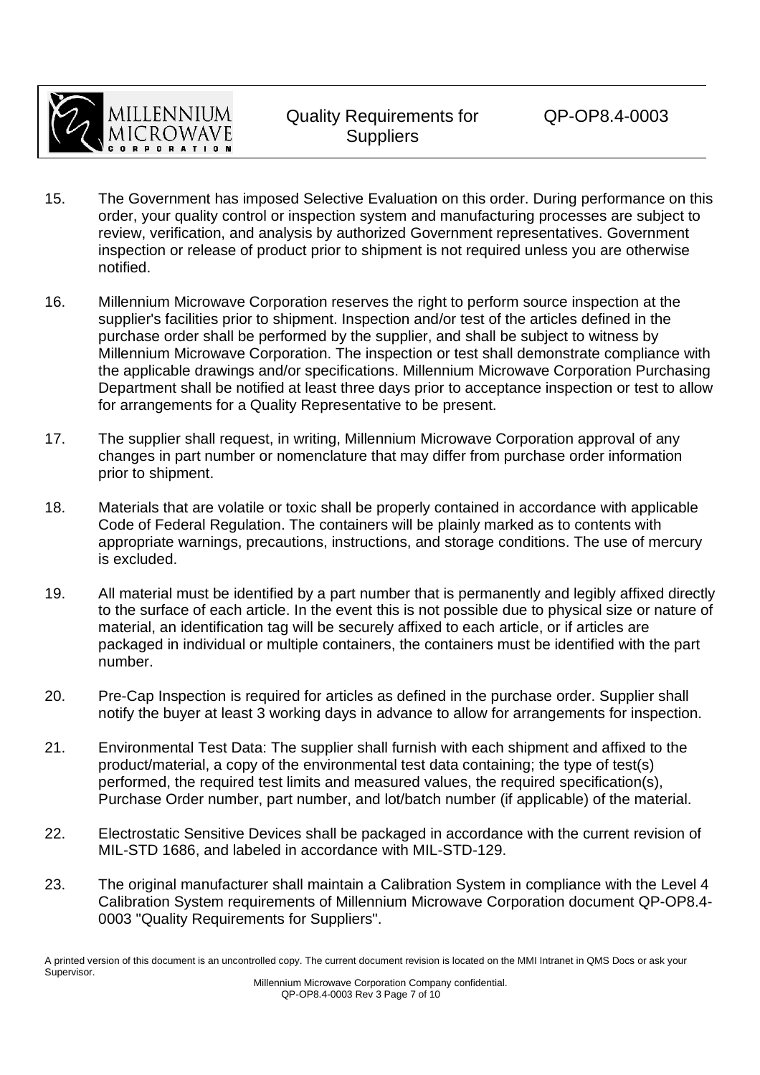

- 15. The Government has imposed Selective Evaluation on this order. During performance on this order, your quality control or inspection system and manufacturing processes are subject to review, verification, and analysis by authorized Government representatives. Government inspection or release of product prior to shipment is not required unless you are otherwise notified.
- 16. Millennium Microwave Corporation reserves the right to perform source inspection at the supplier's facilities prior to shipment. Inspection and/or test of the articles defined in the purchase order shall be performed by the supplier, and shall be subject to witness by Millennium Microwave Corporation. The inspection or test shall demonstrate compliance with the applicable drawings and/or specifications. Millennium Microwave Corporation Purchasing Department shall be notified at least three days prior to acceptance inspection or test to allow for arrangements for a Quality Representative to be present.
- 17. The supplier shall request, in writing, Millennium Microwave Corporation approval of any changes in part number or nomenclature that may differ from purchase order information prior to shipment.
- 18. Materials that are volatile or toxic shall be properly contained in accordance with applicable Code of Federal Regulation. The containers will be plainly marked as to contents with appropriate warnings, precautions, instructions, and storage conditions. The use of mercury is excluded.
- 19. All material must be identified by a part number that is permanently and legibly affixed directly to the surface of each article. In the event this is not possible due to physical size or nature of material, an identification tag will be securely affixed to each article, or if articles are packaged in individual or multiple containers, the containers must be identified with the part number.
- 20. Pre-Cap Inspection is required for articles as defined in the purchase order. Supplier shall notify the buyer at least 3 working days in advance to allow for arrangements for inspection.
- 21. Environmental Test Data: The supplier shall furnish with each shipment and affixed to the product/material, a copy of the environmental test data containing; the type of test(s) performed, the required test limits and measured values, the required specification(s), Purchase Order number, part number, and lot/batch number (if applicable) of the material.
- 22. Electrostatic Sensitive Devices shall be packaged in accordance with the current revision of MIL-STD 1686, and labeled in accordance with MIL-STD-129.
- 23. The original manufacturer shall maintain a Calibration System in compliance with the Level 4 Calibration System requirements of Millennium Microwave Corporation document QP-OP8.4- 0003 "Quality Requirements for Suppliers".

A printed version of this document is an uncontrolled copy. The current document revision is located on the MMI Intranet in QMS Docs or ask your Supervisor.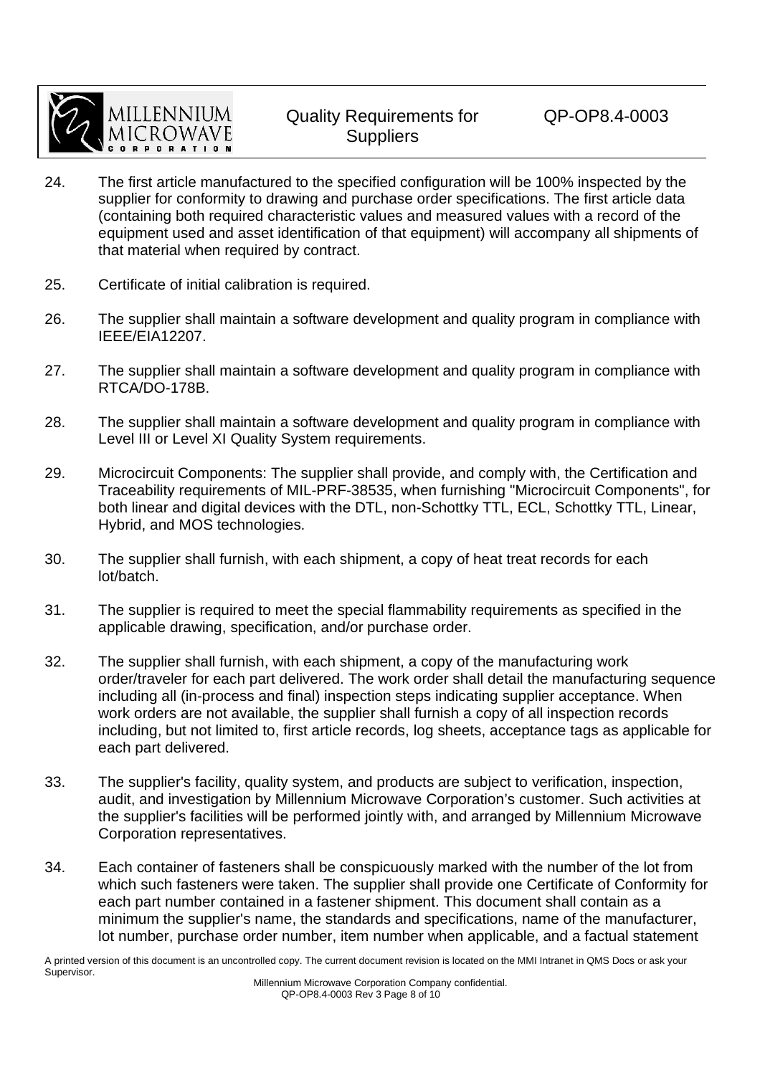

- 24. The first article manufactured to the specified configuration will be 100% inspected by the supplier for conformity to drawing and purchase order specifications. The first article data (containing both required characteristic values and measured values with a record of the equipment used and asset identification of that equipment) will accompany all shipments of that material when required by contract.
- 25. Certificate of initial calibration is required.
- 26. The supplier shall maintain a software development and quality program in compliance with IEEE/EIA12207.
- 27. The supplier shall maintain a software development and quality program in compliance with RTCA/DO-178B.
- 28. The supplier shall maintain a software development and quality program in compliance with Level III or Level XI Quality System requirements.
- 29. Microcircuit Components: The supplier shall provide, and comply with, the Certification and Traceability requirements of MIL-PRF-38535, when furnishing "Microcircuit Components", for both linear and digital devices with the DTL, non-Schottky TTL, ECL, Schottky TTL, Linear, Hybrid, and MOS technologies.
- 30. The supplier shall furnish, with each shipment, a copy of heat treat records for each lot/batch.
- 31. The supplier is required to meet the special flammability requirements as specified in the applicable drawing, specification, and/or purchase order.
- 32. The supplier shall furnish, with each shipment, a copy of the manufacturing work order/traveler for each part delivered. The work order shall detail the manufacturing sequence including all (in-process and final) inspection steps indicating supplier acceptance. When work orders are not available, the supplier shall furnish a copy of all inspection records including, but not limited to, first article records, log sheets, acceptance tags as applicable for each part delivered.
- 33. The supplier's facility, quality system, and products are subject to verification, inspection, audit, and investigation by Millennium Microwave Corporation's customer. Such activities at the supplier's facilities will be performed jointly with, and arranged by Millennium Microwave Corporation representatives.
- 34. Each container of fasteners shall be conspicuously marked with the number of the lot from which such fasteners were taken. The supplier shall provide one Certificate of Conformity for each part number contained in a fastener shipment. This document shall contain as a minimum the supplier's name, the standards and specifications, name of the manufacturer, lot number, purchase order number, item number when applicable, and a factual statement

A printed version of this document is an uncontrolled copy. The current document revision is located on the MMI Intranet in QMS Docs or ask your Supervisor.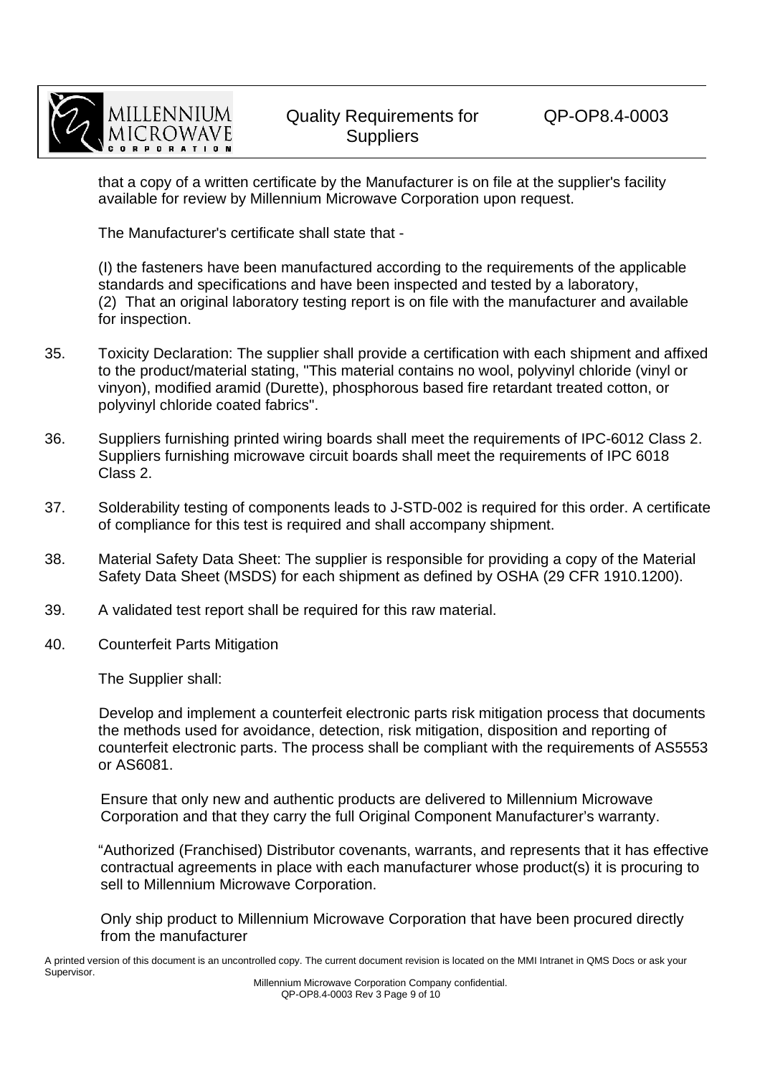

QP-OP8.4-0003

 that a copy of a written certificate by the Manufacturer is on file at the supplier's facility available for review by Millennium Microwave Corporation upon request.

The Manufacturer's certificate shall state that -

 (I) the fasteners have been manufactured according to the requirements of the applicable standards and specifications and have been inspected and tested by a laboratory, (2) That an original laboratory testing report is on file with the manufacturer and available for inspection.

- 35. Toxicity Declaration: The supplier shall provide a certification with each shipment and affixed to the product/material stating, "This material contains no wool, polyvinyl chloride (vinyl or vinyon), modified aramid (Durette), phosphorous based fire retardant treated cotton, or polyvinyl chloride coated fabrics".
- 36. Suppliers furnishing printed wiring boards shall meet the requirements of IPC-6012 Class 2. Suppliers furnishing microwave circuit boards shall meet the requirements of IPC 6018 Class 2.
- 37. Solderability testing of components leads to J-STD-002 is required for this order. A certificate of compliance for this test is required and shall accompany shipment.
- 38. Material Safety Data Sheet: The supplier is responsible for providing a copy of the Material Safety Data Sheet (MSDS) for each shipment as defined by OSHA (29 CFR 1910.1200).
- 39. A validated test report shall be required for this raw material.
- 40. Counterfeit Parts Mitigation

The Supplier shall:

Develop and implement a counterfeit electronic parts risk mitigation process that documents the methods used for avoidance, detection, risk mitigation, disposition and reporting of counterfeit electronic parts. The process shall be compliant with the requirements of AS5553 or AS6081.

Ensure that only new and authentic products are delivered to Millennium Microwave Corporation and that they carry the full Original Component Manufacturer's warranty.

"Authorized (Franchised) Distributor covenants, warrants, and represents that it has effective contractual agreements in place with each manufacturer whose product(s) it is procuring to sell to Millennium Microwave Corporation.

Only ship product to Millennium Microwave Corporation that have been procured directly from the manufacturer

A printed version of this document is an uncontrolled copy. The current document revision is located on the MMI Intranet in QMS Docs or ask your Supervisor.